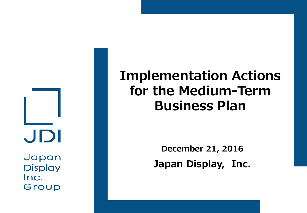JDI

Japan **Display** Inc. Group

# **Implementation Actions for the Medium-Term Business Plan**

**December 21, 2016 Japan Display, Inc.**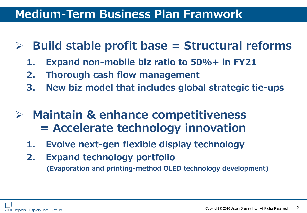## **Medium-Term Business Plan Framwork**

- **Build stable profit base = Structural reforms**
	- **1. Expand non-mobile biz ratio to 50%+ in FY21**
	- **2. Thorough cash flow management**
	- **3. New biz model that includes global strategic tie-ups**
- **Maintain & enhance competitiveness = Accelerate technology innovation**
	- **1. Evolve next-gen flexible display technology**
	- **2. Expand technology portfolio (Evaporation and printing-method OLED technology development)**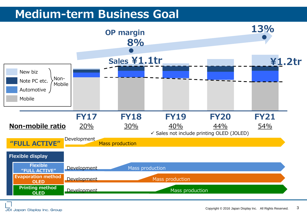## **Medium-term Business Goal**

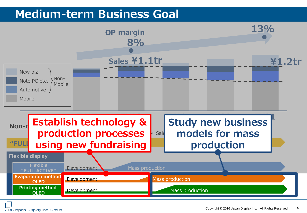## **Medium-term Business Goal**

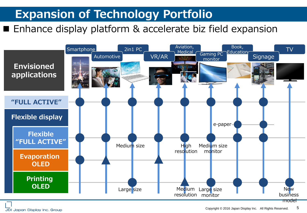## **Expansion of Technology Portfolio**

### ■ Enhance display platform & accelerate biz field expansion



JDI Japan Display Inc. Group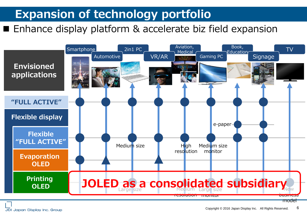## **Expansion of technology portfolio**

#### ■ Enhance display platform & accelerate biz field expansion



JDI Japan Display Inc. Group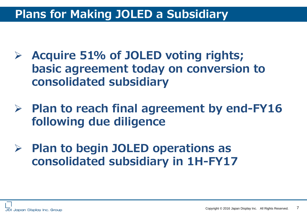## **Plans for Making JOLED a Subsidiary**

- **Acquire 51% of JOLED voting rights; basic agreement today on conversion to consolidated subsidiary**
- **Plan to reach final agreement by end-FY16 following due diligence**
- **Plan to begin JOLED operations as consolidated subsidiary in 1H-FY17**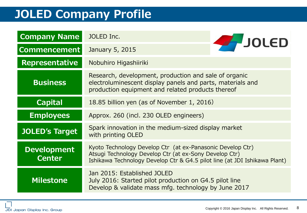## **JOLED Company Profile**

| <b>Company Name</b>                 | JOLED Inc.                                                                                                                                                                                        | <b>FJOLED</b> |
|-------------------------------------|---------------------------------------------------------------------------------------------------------------------------------------------------------------------------------------------------|---------------|
| <b>Commencement</b>                 | January 5, 2015                                                                                                                                                                                   |               |
| <b>Representative</b>               | Nobuhiro Higashiiriki                                                                                                                                                                             |               |
| <b>Business</b>                     | Research, development, production and sale of organic<br>electroluminescent display panels and parts, materials and<br>production equipment and related products thereof                          |               |
| <b>Capital</b>                      | 18.85 billion yen (as of November 1, 2016)                                                                                                                                                        |               |
| <b>Employees</b>                    | Approx. 260 (incl. 230 OLED engineers)                                                                                                                                                            |               |
| <b>JOLED's Target</b>               | Spark innovation in the medium-sized display market<br>with printing OLED                                                                                                                         |               |
| <b>Development</b><br><b>Center</b> | Kyoto Technology Develop Ctr (at ex-Panasonic Develop Ctr)<br>Atsugi Technology Develop Ctr (at ex-Sony Develop Ctr)<br>Ishikawa Technology Develop Ctr & G4.5 pilot line (at JDI Ishikawa Plant) |               |
| <b>Milestone</b>                    | Jan 2015: Established JOLED<br>July 2016: Started pilot production on G4.5 pilot line<br>Develop & validate mass mfg. technology by June 2017                                                     |               |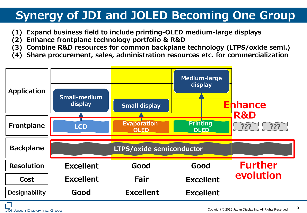## **Synergy of JDI and JOLED Becoming One Group**

- **(1) Expand business field to include printing-OLED medium-large displays**
- **(2) Enhance frontplane technology portfolio & R&D**
- **(3) Combine R&D resources for common backplane technology (LTPS/oxide semi.)**
- **(4) Share procurement, sales, administration resources etc. for commercialization**

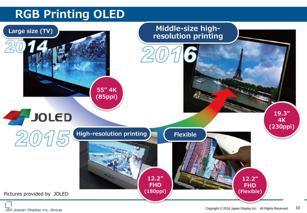## **RGB Printing OLED**



JDI Japan Display Inc. Group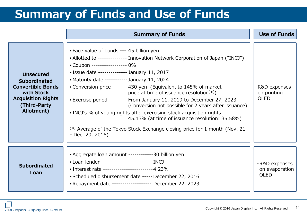## **Summary of Funds and Use of Funds**

|                                                                                                                                               | <b>Summary of Funds</b>                                                                                                                                                                                                                                                                                                                                                                                                                                                                                                                                                                                                                                                                                                                                 | <b>Use of Funds</b>                            |
|-----------------------------------------------------------------------------------------------------------------------------------------------|---------------------------------------------------------------------------------------------------------------------------------------------------------------------------------------------------------------------------------------------------------------------------------------------------------------------------------------------------------------------------------------------------------------------------------------------------------------------------------------------------------------------------------------------------------------------------------------------------------------------------------------------------------------------------------------------------------------------------------------------------------|------------------------------------------------|
| <b>Unsecured</b><br><b>Subordinated</b><br><b>Convertible Bonds</b><br>with Stock<br><b>Acquisition Rights</b><br>(Third-Party)<br>Allotment) | • Face value of bonds --- 45 billion yen<br>• Allotted to ------------- Innovation Network Corporation of Japan ("INCJ")<br>• Coupon ----------------- 0%<br>• Issue date -------------- January 11, 2017<br>• Maturity date ----------- January 11, 2024<br>• Conversion price ------- 430 yen (Equivalent to 145% of market<br>price at time of issuance resolution(*))<br>• Exercise period --------- From January 11, 2019 to December 27, 2023<br>(Conversion not possible for 2 years after issuance)<br>. INCJ's % of voting rights after exercising stock acquisition rights<br>45.13% (at time of issuance resolution: 35.58%)<br><sup>(*)</sup> Average of the Tokyo Stock Exchange closing price for 1 month (Nov. 21)<br>$-$ Dec. 20, 2016) | -R&D expenses<br>on printing<br><b>OLED</b>    |
| <b>Subordinated</b><br>Loan                                                                                                                   | • Aggregate loan amount -----------30 billion yen<br>• Loan lender -------------------------- INCJ<br>• Interest rate ------------------------4.23%<br>• Scheduled disbursement date ----- December 22, 2016<br>. Repayment date ------------------ December 22, 2023                                                                                                                                                                                                                                                                                                                                                                                                                                                                                   | -R&D expenses<br>on evaporation<br><b>OLED</b> |